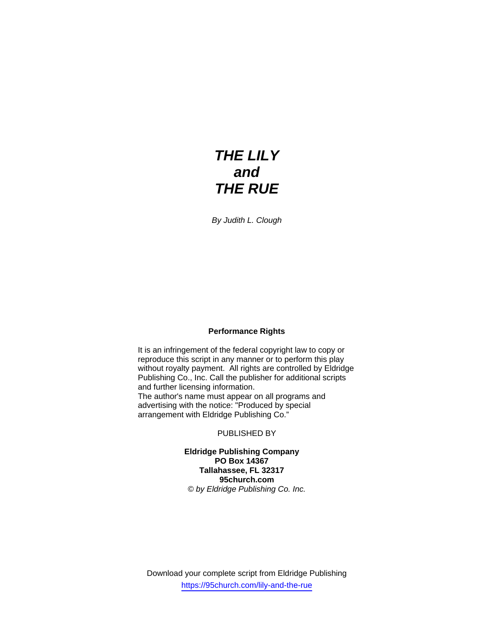# *THE LILY and THE RUE*

*By Judith L. Clough* 

#### **Performance Rights**

It is an infringement of the federal copyright law to copy or reproduce this script in any manner or to perform this play without royalty payment. All rights are controlled by Eldridge Publishing Co., Inc. Call the publisher for additional scripts and further licensing information. The author's name must appear on all programs and advertising with the notice: "Produced by special arrangement with Eldridge Publishing Co."

#### PUBLISHED BY

**Eldridge Publishing Company PO Box 14367 Tallahassee, FL 32317 95church.com**  *© by Eldridge Publishing Co. Inc.* 

Download your complete script from Eldridge Publishing https://95church.com/lily-and-the-rue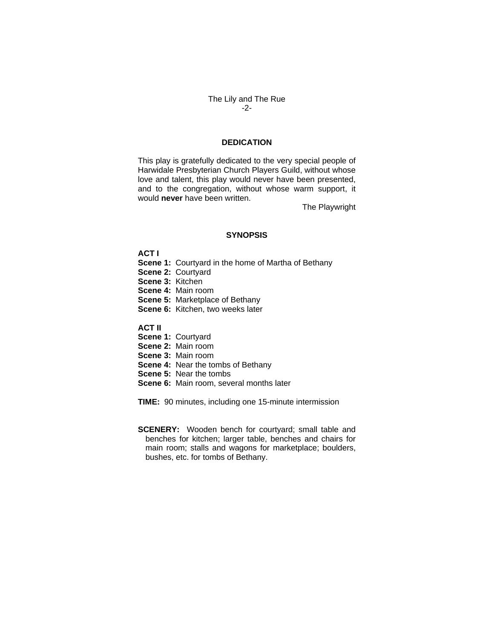# The Lily and The Rue -2-

# **DEDICATION**

This play is gratefully dedicated to the very special people of Harwidale Presbyterian Church Players Guild, without whose love and talent, this play would never have been presented, and to the congregation, without whose warm support, it would **never** have been written.

The Playwright

#### **SYNOPSIS**

**ACT I** 

**Scene 1:** Courtyard in the home of Martha of Bethany **Scene 2:** Courtyard **Scene 3:** Kitchen **Scene 4:** Main room **Scene 5:** Marketplace of Bethany **Scene 6:** Kitchen, two weeks later

**ACT II** 

**Scene 1:** Courtyard **Scene 2:** Main room **Scene 3:** Main room **Scene 4: Near the tombs of Bethany Scene 5:** Near the tombs **Scene 6:** Main room, several months later

**TIME:** 90 minutes, including one 15-minute intermission

**SCENERY:** Wooden bench for courtyard; small table and benches for kitchen; larger table, benches and chairs for main room; stalls and wagons for marketplace; boulders, bushes, etc. for tombs of Bethany.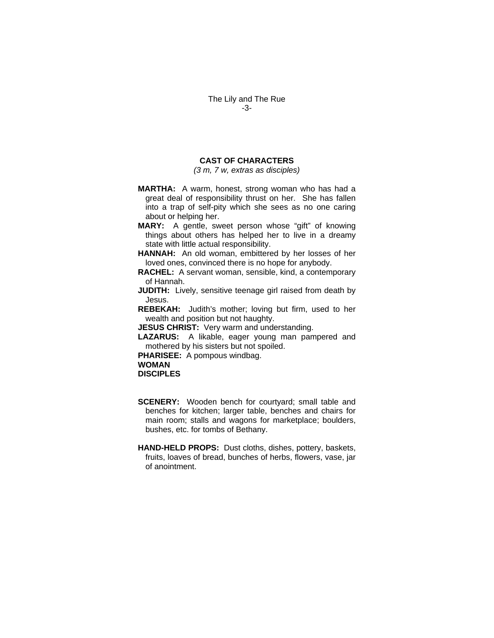## **CAST OF CHARACTERS**

*(3 m, 7 w, extras as disciples)*

- **MARTHA:** A warm, honest, strong woman who has had a great deal of responsibility thrust on her. She has fallen into a trap of self-pity which she sees as no one caring about or helping her.
- **MARY:** A gentle, sweet person whose "gift" of knowing things about others has helped her to live in a dreamy state with little actual responsibility.
- **HANNAH:** An old woman, embittered by her losses of her loved ones, convinced there is no hope for anybody.
- **RACHEL:** A servant woman, sensible, kind, a contemporary of Hannah.
- **JUDITH:** Lively, sensitive teenage girl raised from death by Jesus.
- **REBEKAH:** Judith's mother; loving but firm, used to her wealth and position but not haughty.
- **JESUS CHRIST:** Very warm and understanding.
- **LAZARUS:** A likable, eager young man pampered and mothered by his sisters but not spoiled.

**PHARISEE:** A pompous windbag.

**WOMAN** 

**DISCIPLES** 

- **SCENERY:** Wooden bench for courtyard; small table and benches for kitchen; larger table, benches and chairs for main room; stalls and wagons for marketplace; boulders, bushes, etc. for tombs of Bethany.
- **HAND-HELD PROPS:** Dust cloths, dishes, pottery, baskets, fruits, loaves of bread, bunches of herbs, flowers, vase, jar of anointment.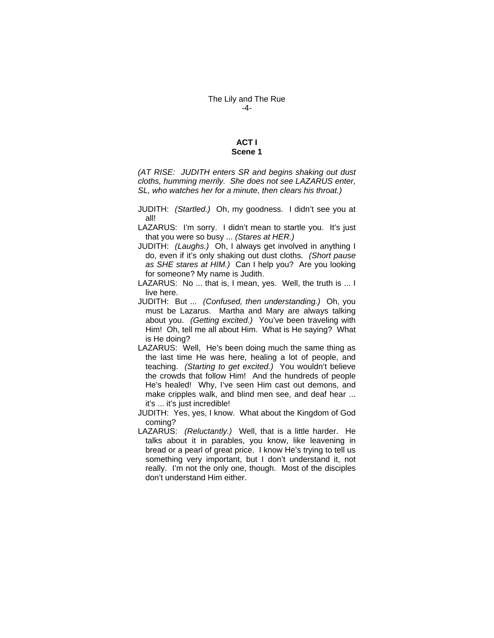#### The Lily and The Rue -4-

#### **ACT I Scene 1**

*(AT RISE: JUDITH enters SR and begins shaking out dust cloths, humming merrily. She does not see LAZARUS enter, SL, who watches her for a minute, then clears his throat.)* 

- JUDITH: *(Startled.)* Oh, my goodness. I didn't see you at all!
- LAZARUS: I'm sorry. I didn't mean to startle you. It's just that you were so busy ... *(Stares at HER.)*
- JUDITH: *(Laughs.)* Oh, I always get involved in anything I do, even if it's only shaking out dust cloths. *(Short pause as SHE stares at HIM.)* Can I help you? Are you looking for someone? My name is Judith.
- LAZARUS: No ... that is, I mean, yes. Well, the truth is ... I live here.
- JUDITH: But ... *(Confused, then understanding.)* Oh, you must be Lazarus. Martha and Mary are always talking about you. *(Getting excited.)* You've been traveling with Him! Oh, tell me all about Him. What is He saying? What is He doing?
- LAZARUS: Well, He's been doing much the same thing as the last time He was here, healing a lot of people, and teaching. *(Starting to get excited.)* You wouldn't believe the crowds that follow Him! And the hundreds of people He's healed! Why, I've seen Him cast out demons, and make cripples walk, and blind men see, and deaf hear ... it's ... it's just incredible!
- JUDITH: Yes, yes, I know. What about the Kingdom of God coming?
- LAZARUS: *(Reluctantly.)* Well, that is a little harder. He talks about it in parables, you know, like leavening in bread or a pearl of great price. I know He's trying to tell us something very important, but I don't understand it, not really. I'm not the only one, though. Most of the disciples don't understand Him either.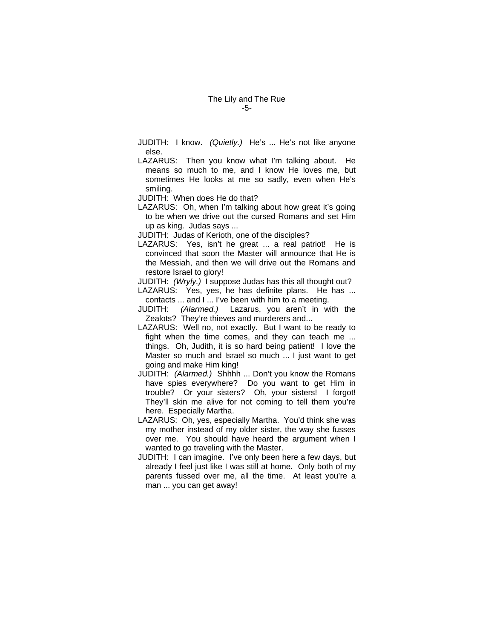## The Lily and The Rue -5-

- JUDITH: I know. *(Quietly.)* He's ... He's not like anyone else.
- LAZARUS: Then you know what I'm talking about. He means so much to me, and I know He loves me, but sometimes He looks at me so sadly, even when He's smiling.

JUDITH: When does He do that?

LAZARUS: Oh, when I'm talking about how great it's going to be when we drive out the cursed Romans and set Him up as king. Judas says ...

JUDITH: Judas of Kerioth, one of the disciples?

- LAZARUS: Yes, isn't he great ... a real patriot! He is convinced that soon the Master will announce that He is the Messiah, and then we will drive out the Romans and restore Israel to glory!
- JUDITH: *(Wryly.)* I suppose Judas has this all thought out?
- LAZARUS: Yes, yes, he has definite plans. He has ... contacts ... and I ... I've been with him to a meeting.
- JUDITH: *(Alarmed.)* Lazarus, you aren't in with the Zealots? They're thieves and murderers and...
- LAZARUS: Well no, not exactly. But I want to be ready to fight when the time comes, and they can teach me ... things. Oh, Judith, it is so hard being patient! I love the Master so much and Israel so much ... I just want to get going and make Him king!
- JUDITH: *(Alarmed.)* Shhhh ... Don't you know the Romans have spies everywhere? Do you want to get Him in trouble? Or your sisters? Oh, your sisters! I forgot! They'll skin me alive for not coming to tell them you're here. Especially Martha.
- LAZARUS: Oh, yes, especially Martha. You'd think she was my mother instead of my older sister, the way she fusses over me. You should have heard the argument when I wanted to go traveling with the Master.
- JUDITH: I can imagine. I've only been here a few days, but already I feel just like I was still at home. Only both of my parents fussed over me, all the time. At least you're a man ... you can get away!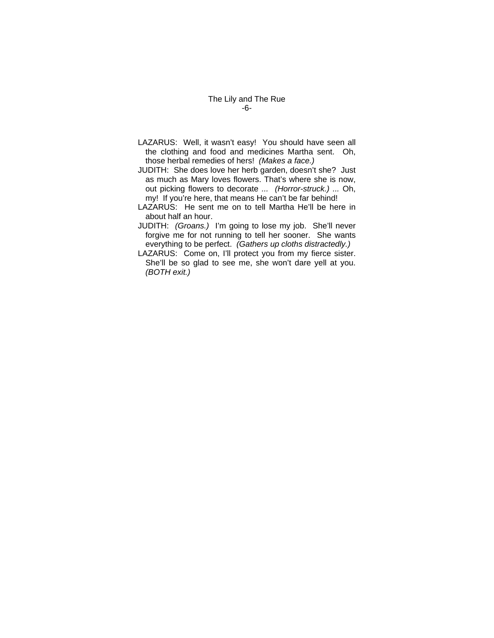# The Lily and The Rue -6-

- LAZARUS: Well, it wasn't easy! You should have seen all the clothing and food and medicines Martha sent. Oh, those herbal remedies of hers! *(Makes a face.)*
- JUDITH: She does love her herb garden, doesn't she? Just as much as Mary loves flowers. That's where she is now, out picking flowers to decorate *... (Horror-struck.) ...* Oh, my! If you're here, that means He can't be far behind!
- LAZARUS: He sent me on to tell Martha He'll be here in about half an hour.
- JUDITH: *(Groans.)* I'm going to lose my job. She'll never forgive me for not running to tell her sooner. She wants everything to be perfect. *(Gathers up cloths distractedly.)*
- LAZARUS: Come on, I'll protect you from my fierce sister. She'll be so glad to see me, she won't dare yell at you. *(BOTH exit.)*